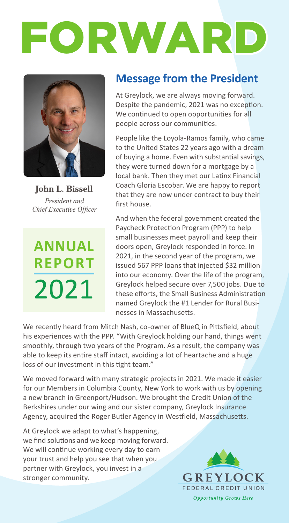



**John L. Bissell** *President and Chief Executive Officer*

# **ANNUAL REPORT** 2021

# **Message from the President**

At Greylock, we are always moving forward. Despite the pandemic, 2021 was no exception. We continued to open opportunities for all people across our communities.

People like the Loyola-Ramos family, who came to the United States 22 years ago with a dream of buying a home. Even with substantial savings, they were turned down for a mortgage by a local bank. Then they met our Latinx Financial Coach Gloria Escobar. We are happy to report that they are now under contract to buy their first house.

And when the federal government created the Paycheck Protection Program (PPP) to help small businesses meet payroll and keep their doors open, Greylock responded in force. In 2021, in the second year of the program, we issued 567 PPP loans that injected \$32 million into our economy. Over the life of the program, Greylock helped secure over 7,500 jobs. Due to these efforts, the Small Business Administration named Greylock the #1 Lender for Rural Businesses in Massachusetts.

We recently heard from Mitch Nash, co-owner of BlueQ in Pittsfield, about his experiences with the PPP. "With Greylock holding our hand, things went smoothly, through two years of the Program. As a result, the company was able to keep its entire staff intact, avoiding a lot of heartache and a huge loss of our investment in this tight team."

We moved forward with many strategic projects in 2021. We made it easier for our Members in Columbia County, New York to work with us by opening a new branch in Greenport/Hudson. We brought the Credit Union of the Berkshires under our wing and our sister company, Greylock Insurance Agency, acquired the Roger Butler Agency in Westfield, Massachusetts.

At Greylock we adapt to what's happening, we find solutions and we keep moving forward. We will continue working every day to earn your trust and help you see that when you partner with Greylock, you invest in a stronger community.

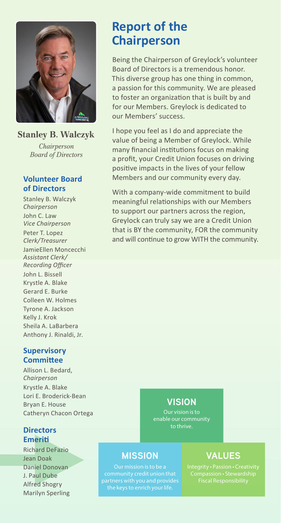

### **Stanley B. Walczyk**

*Chairperson Board of Directors*

#### **Volunteer Board of Directors**

Stanley B. Walczyk *Chairperson* John C. Law *Vice Chairperson*

Peter T. Lopez *Clerk/Treasurer* JamieEllen Moncecchi *Assistant Clerk/ Recording Officer* John L. Bissell Krystle A. Blake Gerard E. Burke Colleen W. Holmes Tyrone A. Jackson Kelly J. Krok Sheila A. LaBarbera Anthony J. Rinaldi, Jr.

#### **Supervisory Committee**

Allison L. Bedard, *Chairperson* Krystle A. Blake Lori E. Broderick-Bean Bryan E. House Catheryn Chacon Ortega

### **Directors Emeriti**

Richard DeFazio Jean Doak Daniel Donovan J. Paul Dube Alfred Shogry Marilyn Sperling

# **Report of the Chairperson**

Being the Chairperson of Greylock's volunteer Board of Directors is a tremendous honor. This diverse group has one thing in common, a passion for this community. We are pleased to foster an organization that is built by and for our Members. Greylock is dedicated to our Members' success.

I hope you feel as I do and appreciate the value of being a Member of Greylock. While many financial institutions focus on making a profit, your Credit Union focuses on driving positive impacts in the lives of your fellow Members and our community every day.

With a company-wide commitment to build meaningful relationships with our Members to support our partners across the region, Greylock can truly say we are a Credit Union that is BY the community, FOR the community and will continue to grow WITH the community.

## **VISION**

enable our community to thrive.

## **MISSION**

Our mission is to be a community credit union that partners with you and provides

## **VALUES**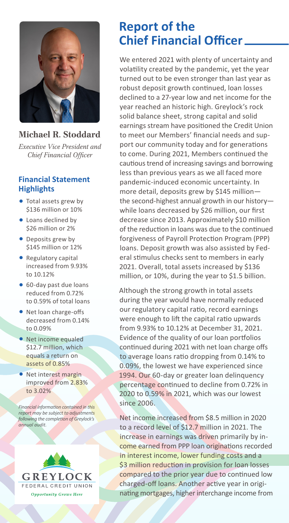

## **Michael R. Stoddard**

*Executive Vice President and Chief Financial Officer*

### **Financial Statement Highlights**

- Total assets grew by \$136 million or 10%
- Loans declined by \$26 million or 2%
- Deposits grew by \$145 million or 12%
- Regulatory capital increased from 9.93% to 10.12%
- 60-day past due loans reduced from 0.72% to 0.59% of total loans
- Net loan charge-offs decreased from 0.14% to 0.09%
- Net income equaled \$12.7 million, which equals a return on assets of 0.85%
- Net interest margin improved from 2.83% to 3.02%

*Financial information contained in this report may be subject to adjustments following the completion of Greylock's annual audit.*



# **Report of the Chief Financial Officer**

We entered 2021 with plenty of uncertainty and volatility created by the pandemic, yet the year turned out to be even stronger than last year as robust deposit growth continued, loan losses declined to a 27-year low and net income for the year reached an historic high. Greylock's rock solid balance sheet, strong capital and solid earnings stream have positioned the Credit Union to meet our Members' financial needs and support our community today and for generations to come. During 2021, Members continued the cautious trend of increasing savings and borrowing less than previous years as we all faced more pandemic-induced economic uncertainty. In more detail, deposits grew by \$145 million the second-highest annual growth in our history while loans decreased by \$26 million, our first decrease since 2013. Approximately \$10 million of the reduction in loans was due to the continued forgiveness of Payroll Protection Program (PPP) loans. Deposit growth was also assisted by Federal stimulus checks sent to members in early 2021. Overall, total assets increased by \$136 million, or 10%, during the year to \$1.5 billion.

Although the strong growth in total assets during the year would have normally reduced our regulatory capital ratio, record earnings were enough to lift the capital ratio upwards from 9.93% to 10.12% at December 31, 2021. Evidence of the quality of our loan portfolios continued during 2021 with net loan charge offs to average loans ratio dropping from 0.14% to 0.09%, the lowest we have experienced since 1994. Our 60-day or greater loan delinquency percentage continued to decline from 0.72% in 2020 to 0.59% in 2021, which was our lowest since 2006.

Net income increased from \$8.5 million in 2020 to a record level of \$12.7 million in 2021. The increase in earnings was driven primarily by income earned from PPP loan originations recorded in interest income, lower funding costs and a \$3 million reduction in provision for loan losses compared to the prior year due to continued low charged-off loans. Another active year in originating mortgages, higher interchange income from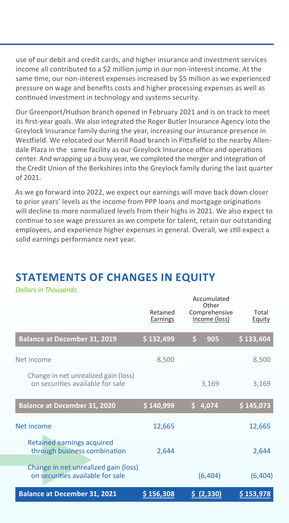use of our debit and credit cards, and higher insurance and investment services income all contributed to a \$2 million jump in our non-interest income. At the same time, our non-interest expenses increased by \$5 million as we experienced pressure on wage and benefits costs and higher processing expenses as well as continued investment in technology and systems security.

Our Greenport/Hudson branch opened in February 2021 and is on track to meet its first-year goals. We also integrated the Roger Butler Insurance Agency into the Greylock Insurance family during the year, increasing our insurance presence in Westfield. We relocated our Merrill Road branch in Pittsfield to the nearby Allendale Plaza in the same facility as our Greylock Insurance office and operations center. And wrapping up a busy year, we completed the merger and integration of the Credit Union of the Berkshires into the Greylock family during the last quarter of 2021.

As we go forward into 2022, we expect our earnings will move back down closer to prior years' levels as the income from PPP loans and mortgage originations will decline to more normalized levels from their highs in 2021. We also expect to continue to see wage pressures as we compete for talent, retain our outstanding employees, and experience higher expenses in general. Overall, we still expect a solid earnings performance next year.

## **Balance at December 31, 2019 \$ 132,499 \$ 905 \$ 133,404** Net income 8.500 8.500 Change in net unrealized gain (loss) on securities available for sale 3,169 3,169  **Balance at December 31, 2020 \$ 140,999 \$ 4,074 \$ 145,073** Net income 12,665 12,665 12,665 Retained earnings acquired through business combination and 2,644 2,644 Change in net unrealized gain (loss) on securities available for sale (6,404) (6,404) Accumulated **Other** Comprehensive Income (loss) Total **Equity** Retained **Earnings**

# **STATEMENTS OF CHANGES IN EQUITY**

*Dollars in Thousands*

| <b>Balance at December 31, 2021</b> | \$156,308 | 5(2,330) | \$153,978 |
|-------------------------------------|-----------|----------|-----------|
|                                     |           |          |           |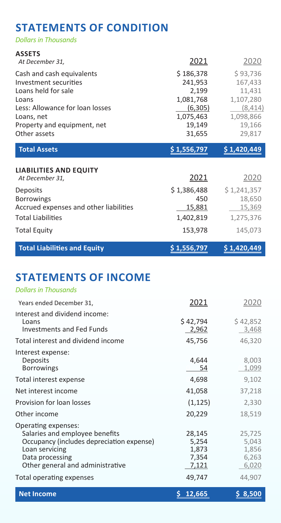## **STATEMENTS OF CONDITION**

*Dollars in Thousands*

| <b>ASSETS</b><br>At December 31,                                                                                                                                                   | 2021                                                                                   | <u> 2020</u>                                                                            |
|------------------------------------------------------------------------------------------------------------------------------------------------------------------------------------|----------------------------------------------------------------------------------------|-----------------------------------------------------------------------------------------|
| Cash and cash equivalents<br>Investment securities<br>Loans held for sale<br>Loans<br>Less: Allowance for loan losses<br>Loans, net<br>Property and equipment, net<br>Other assets | \$186,378<br>241,953<br>2,199<br>1,081,768<br>(6,305)<br>1,075,463<br>19,149<br>31,655 | \$93,736<br>167,433<br>11,431<br>1,107,280<br>(8, 414)<br>1,098,866<br>19,166<br>29,817 |
| <b>Total Assets</b>                                                                                                                                                                | \$1,556,797                                                                            | <u>\$1,420,449</u>                                                                      |
| <b>LIABILITIES AND EQUITY</b><br>At December 31,                                                                                                                                   | 2021                                                                                   | 2020                                                                                    |
| Deposits<br><b>Borrowings</b><br>Accrued expenses and other liabilities                                                                                                            | \$1,386,488<br>450<br>15,881                                                           | \$1,241,357<br>18,650<br>15,369                                                         |
| <b>Total Liabilities</b><br><b>Total Equity</b>                                                                                                                                    | 1,402,819<br>153,978                                                                   | 1,275,376<br>145,073                                                                    |
| <b>Total Liabilities and Equity</b>                                                                                                                                                | \$1,556,797                                                                            | \$1,420,449                                                                             |
| <b>STATEMENTS OF INCOME</b><br><b>Dollars in Thousands</b>                                                                                                                         |                                                                                        |                                                                                         |
| Magnetic and ad Discovered and 24                                                                                                                                                  | วกวา                                                                                   | ำ∩ว∩                                                                                    |

| <b>Net Income</b>                                                          | 12,665            | 8,500             |
|----------------------------------------------------------------------------|-------------------|-------------------|
| Total operating expenses                                                   | 49,747            | 44,907            |
| Data processing<br>Other general and administrative                        | 7,354<br>7,121    | 6,263<br>6,020    |
| Loan servicing                                                             | 1,873             | 1,856             |
| Occupancy (includes depreciation expense)                                  | 5,254             | 5,043             |
| Operating expenses:<br>Salaries and employee benefits                      | 28,145            | 25,725            |
| Other income                                                               | 20,229            | 18,519            |
| Provision for loan losses                                                  | (1, 125)          | 2,330             |
| Net interest income                                                        | 41,058            | 37,218            |
| Total interest expense                                                     | 4,698             | 9,102             |
| Interest expense:<br><b>Deposits</b><br><b>Borrowings</b>                  | 4,644<br>54       | 8,003<br>1,099    |
| Total interest and dividend income                                         | 45,756            | 46,320            |
| Interest and dividend income:<br>Loans<br><b>Investments and Fed Funds</b> | \$42,794<br>2,962 | \$42,852<br>3,468 |
| Years ended December 31,                                                   | 2021              | 2020              |